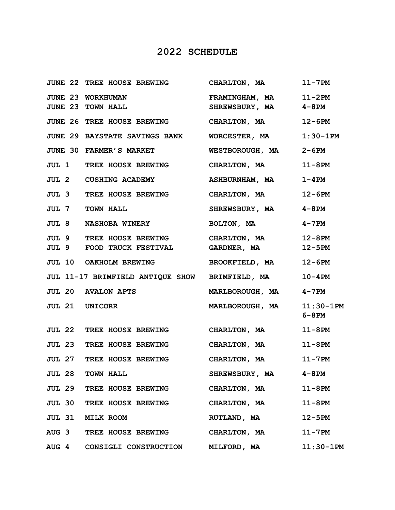## **2022 SCHEDULE**

|  | JUNE 22 TREE HOUSE BREWING                                                            | CHARLTON, MA                            | $11 - 7$ PM          |
|--|---------------------------------------------------------------------------------------|-----------------------------------------|----------------------|
|  | JUNE 23 WORKHUMAN<br><b>JUNE 23 TOWN HALL</b>                                         | FRAMINGHAM, MA 11-2PM<br>SHREWSBURY, MA | 4-8PM                |
|  | JUNE 26 TREE HOUSE BREWING CHARLTON, MA                                               |                                         | 12-6PM               |
|  | JUNE 29 BAYSTATE SAVINGS BANK WORCESTER, MA                                           |                                         | $1:30-1PM$           |
|  | <b>JUNE 30 FARMER'S MARKET</b>                                                        | WESTBOROUGH, MA 2-6PM                   |                      |
|  | JUL 1 TREE HOUSE BREWING CHARLTON, MA                                                 |                                         | $11-8$ PM            |
|  | <b>JUL 2 CUSHING ACADEMY</b>                                                          | <b>ASHBURNHAM, MA</b>                   | $1 - 4$ PM           |
|  | <b>JUL 3 TREE HOUSE BREWING</b>                                                       | CHARLTON, MA                            | $12-6PM$             |
|  | <b>JUL 7 TOWN HALL</b>                                                                | SHREWSBURY, MA                          | 4-8PM                |
|  | <b>JUL 8 NASHOBA WINERY</b>                                                           | BOLTON, MA                              | $4 - 7$ PM           |
|  | JUL 9 TREE HOUSE BREWING CHARLTON, MA 12-8PM<br>JUL 9 FOOD TRUCK FESTIVAL GARDNER, MA |                                         | 12-5PM               |
|  | JUL 10 OAKHOLM BREWING BROOKFIELD, MA                                                 |                                         | 12-6PM               |
|  | JUL 11-17 BRIMFIELD ANTIQUE SHOW BRIMFIELD, MA                                        |                                         | $10 - 4$ PM          |
|  | <b>JUL 20 AVALON APTS</b>                                                             | MARLBOROUGH, MA 4-7PM                   |                      |
|  | <b>JUL 21 UNICORR</b>                                                                 | MARLBOROUGH, MA                         | $11:30-1PM$<br>6-8PM |
|  | <b>JUL 22 TREE HOUSE BREWING</b>                                                      | CHARLTON, MA                            | $11-8$ PM            |
|  | <b>JUL 23 TREE HOUSE BREWING</b>                                                      | CHARLTON, MA                            | $11-8$ PM            |
|  | <b>JUL 27 TREE HOUSE BREWING</b>                                                      | CHARLTON, MA                            | $11 - 7$ PM          |
|  | <b>JUL 28 TOWN HALL</b>                                                               | SHREWSBURY, MA                          | 4-8PM                |
|  | <b>JUL 29 TREE HOUSE BREWING</b>                                                      | CHARLTON, MA                            | $11-8$ PM            |
|  | <b>JUL 30 TREE HOUSE BREWING</b>                                                      | CHARLTON, MA                            | $11-8$ PM            |
|  | <b>JUL 31 MILK ROOM</b>                                                               | RUTLAND, MA                             | $12 - 5PM$           |
|  | AUG 3 TREE HOUSE BREWING CHARLTON, MA                                                 |                                         | $11-7$ PM            |
|  | AUG 4 CONSIGLI CONSTRUCTION MILFORD, MA                                               |                                         | $11:30-1PM$          |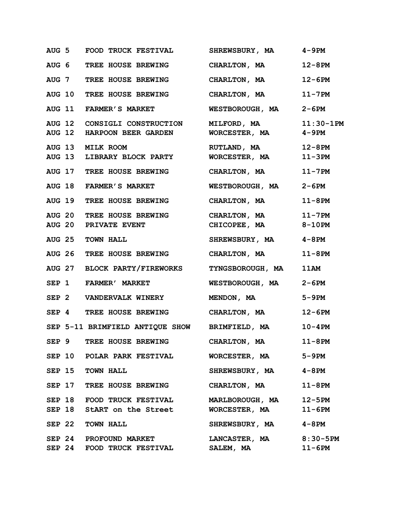| AUG 5         | FOOD TRUCK FESTIVAL                                        | SHREWSBURY, MA                             | 4-9PM                       |
|---------------|------------------------------------------------------------|--------------------------------------------|-----------------------------|
|               | AUG 6 TREE HOUSE BREWING CHARLTON, MA                      |                                            | $12 - 8$ PM                 |
|               | AUG 7 TREE HOUSE BREWING CHARLTON, MA                      |                                            | $12-6PM$                    |
|               | AUG 10 TREE HOUSE BREWING CHARLTON, MA                     |                                            | $11 - 7$ PM                 |
|               | AUG 11 FARMER'S MARKET                                     | WESTBOROUGH, MA                            | 2-6PM                       |
|               | AUG 12 CONSIGLI CONSTRUCTION<br>AUG 12 HARPOON BEER GARDEN | MILFORD, MA<br>WORCESTER, MA               | $11:30 - 1PM$<br>$4 - 9$ PM |
|               | AUG 13 MILK ROOM<br>AUG 13 LIBRARY BLOCK PARTY             | RUTLAND, MA<br>WORCESTER, MA               | $12 - 8$ PM<br>$11-3PM$     |
|               | AUG 17 TREE HOUSE BREWING CHARLTON, MA                     |                                            | $11 - 7$ PM                 |
|               | AUG 18 FARMER'S MARKET                                     | WESTBOROUGH, MA                            | 2-6PM                       |
|               | AUG 19 TREE HOUSE BREWING                                  | CHARLTON, MA                               | $11-8$ PM                   |
|               | AUG 20 TREE HOUSE BREWING<br><b>AUG 20 PRIVATE EVENT</b>   | CHARLTON, MA<br>CHICOPEE, MA               | $11 - 7$ PM<br>$8-10$ PM    |
|               | AUG 25 TOWN HALL                                           | SHREWSBURY, MA                             | 4-8PM                       |
|               | AUG 26 TREE HOUSE BREWING                                  | CHARLTON, MA                               | $11-8$ PM                   |
|               | AUG 27 BLOCK PARTY/FIREWORKS                               | <b>TYNGSBOROUGH, MA</b>                    | 11AM                        |
|               | SEP 1 FARMER' MARKET                                       | WESTBOROUGH, MA                            | $2-6PM$                     |
|               | SEP 2 VANDERVALK WINERY                                    | MENDON, MA                                 | $5-9PM$                     |
|               | SEP 4 TREE HOUSE BREWING                                   | CHARLTON, MA                               | $12-6PM$                    |
|               | SEP 5-11 BRIMFIELD ANTIQUE SHOW BRIMFIELD, MA 10-4PM       |                                            |                             |
|               | SEP 9 TREE HOUSE BREWING                                   | CHARLTON, MA                               | $11-8$ PM                   |
|               | SEP 10 POLAR PARK FESTIVAL                                 | WORCESTER, MA                              | $5-9PM$                     |
| SEP 15        | <b>TOWN HALL</b>                                           | SHREWSBURY, MA                             | $4-8$ PM                    |
| SEP 17        | <b>TREE HOUSE BREWING</b>                                  | CHARLTON, MA                               | $11-8PM$                    |
|               | SEP 18 FOOD TRUCK FESTIVAL                                 | MARLBOROUGH, MA                            | 12-5PM                      |
| SEP 18        | StART on the Street                                        | WORCESTER, MA                              | $11-6$ PM                   |
| <b>SEP 22</b> | <b>TOWN HALL</b>                                           | SHREWSBURY, MA                             | 4-8PM                       |
|               | SEP 24 PROFOUND MARKET<br>SEP 24 FOOD TRUCK FESTIVAL       | LANCASTER, MA 8:30-5PM<br><b>SALEM, MA</b> | $11-6$ PM                   |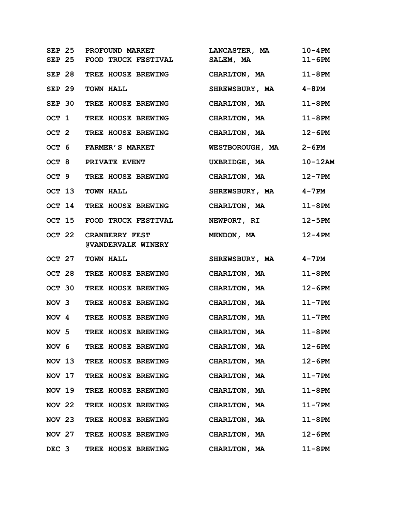|  | SEP 25 PROFOUND MARKET                             | <b>LANCASTER, MA</b>   | $10 - 4$ PM |
|--|----------------------------------------------------|------------------------|-------------|
|  | SEP 25 FOOD TRUCK FESTIVAL                         | <b>SALEM, MA</b>       | 11-6PM      |
|  | SEP 28 TREE HOUSE BREWING                          | <b>CHARLTON, MA</b>    | $11-8$ PM   |
|  | SEP 29 TOWN HALL                                   | <b>SHREWSBURY, MA</b>  | 4-8PM       |
|  | SEP 30 TREE HOUSE BREWING                          | CHARLTON, MA           | $11-8$ PM   |
|  | OCT 1 TREE HOUSE BREWING                           | CHARLTON, MA           | $11-8$ PM   |
|  | OCT 2 TREE HOUSE BREWING                           | CHARLTON, MA           | 12-6PM      |
|  | OCT 6 FARMER'S MARKET                              | <b>WESTBOROUGH, MA</b> | 2-6PM       |
|  | OCT 8 PRIVATE EVENT                                | UXBRIDGE, MA           | $10-12AM$   |
|  | OCT 9 TREE HOUSE BREWING                           | CHARLTON, MA           | 12-7PM      |
|  | OCT 13 TOWN HALL                                   | <b>SHREWSBURY, MA</b>  | 4-7PM       |
|  | OCT 14 TREE HOUSE BREWING                          | <b>CHARLTON, MA</b>    | $11-8PM$    |
|  | OCT 15 FOOD TRUCK FESTIVAL                         | NEWPORT, RI            | $12 - 5PM$  |
|  | OCT 22 CRANBERRY FEST<br><b>@VANDERVALK WINERY</b> | MENDON, MA             | $12 - 4$ PM |
|  | OCT 27 TOWN HALL                                   | SHREWSBURY, MA 4-7PM   |             |
|  |                                                    | CHARLTON, MA           | $11-8$ PM   |
|  | OCT 28 TREE HOUSE BREWING                          |                        |             |
|  | OCT 30 TREE HOUSE BREWING                          | CHARLTON, MA           | 12-6PM      |
|  | NOV 3 TREE HOUSE BREWING                           | CHARLTON, MA           | 11-7PM      |
|  | NOV 4 TREE HOUSE BREWING                           | CHARLTON, MA           | 11-7PM      |
|  | NOV 5 TREE HOUSE BREWING                           | CHARLTON, MA           | $11-8$ PM   |
|  | NOV 6 TREE HOUSE BREWING                           | CHARLTON, MA           | 12-6PM      |
|  | NOV 13 TREE HOUSE BREWING                          | CHARLTON, MA           | 12-6PM      |
|  | NOV 17 TREE HOUSE BREWING                          | CHARLTON, MA           | $11 - 7$ PM |
|  | NOV 19 TREE HOUSE BREWING                          | CHARLTON, MA           | $11-8$ PM   |
|  | NOV 22 TREE HOUSE BREWING                          | CHARLTON, MA           | $11 - 7$ PM |
|  | NOV 23 TREE HOUSE BREWING                          | CHARLTON, MA           | $11-8$ PM   |
|  | NOV 27 TREE HOUSE BREWING CHARLTON, MA             |                        | 12-6PM      |